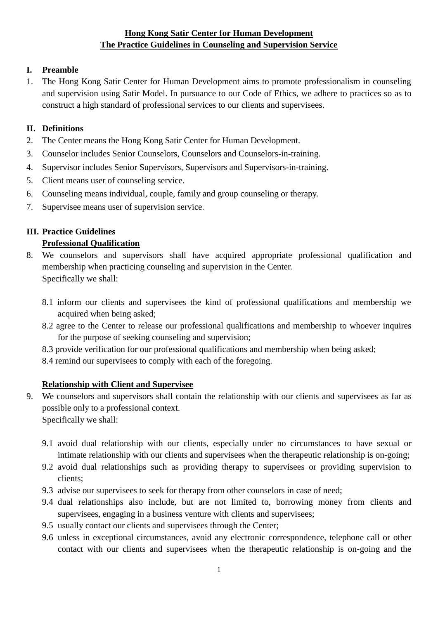# **Hong Kong Satir Center for Human Development The Practice Guidelines in Counseling and Supervision Service**

## **I. Preamble**

1. The Hong Kong Satir Center for Human Development aims to promote professionalism in counseling and supervision using Satir Model. In pursuance to our Code of Ethics, we adhere to practices so as to construct a high standard of professional services to our clients and supervisees.

### **II. Definitions**

- 2. The Center means the Hong Kong Satir Center for Human Development.
- 3. Counselor includes Senior Counselors, Counselors and Counselors-in-training.
- 4. Supervisor includes Senior Supervisors, Supervisors and Supervisors-in-training.
- 5. Client means user of counseling service.
- 6. Counseling means individual, couple, family and group counseling or therapy.
- 7. Supervisee means user of supervision service.

## **III. Practice Guidelines**

## **Professional Qualification**

- 8. We counselors and supervisors shall have acquired appropriate professional qualification and membership when practicing counseling and supervision in the Center. Specifically we shall:
	- 8.1 inform our clients and supervisees the kind of professional qualifications and membership we acquired when being asked;
	- 8.2 agree to the Center to release our professional qualifications and membership to whoever inquires for the purpose of seeking counseling and supervision;
	- 8.3 provide verification for our professional qualifications and membership when being asked;
	- 8.4 remind our supervisees to comply with each of the foregoing.

## **Relationship with Client and Supervisee**

9. We counselors and supervisors shall contain the relationship with our clients and supervisees as far as possible only to a professional context.

Specifically we shall:

- 9.1 avoid dual relationship with our clients, especially under no circumstances to have sexual or intimate relationship with our clients and supervisees when the therapeutic relationship is on-going;
- 9.2 avoid dual relationships such as providing therapy to supervisees or providing supervision to clients;
- 9.3 advise our supervisees to seek for therapy from other counselors in case of need;
- 9.4 dual relationships also include, but are not limited to, borrowing money from clients and supervisees, engaging in a business venture with clients and supervisees;
- 9.5 usually contact our clients and supervisees through the Center;
- 9.6 unless in exceptional circumstances, avoid any electronic correspondence, telephone call or other contact with our clients and supervisees when the therapeutic relationship is on-going and the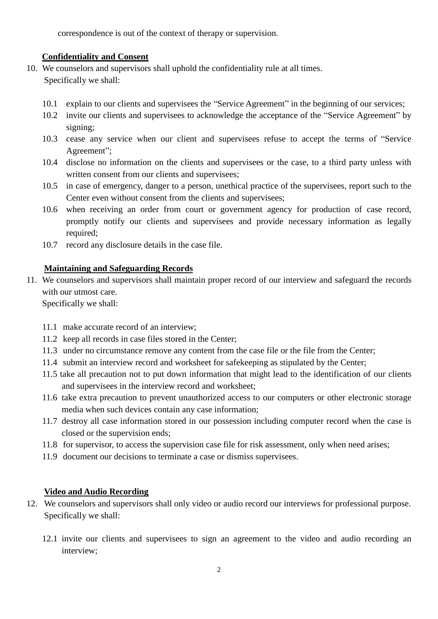correspondence is out of the context of therapy or supervision.

## **Confidentiality and Consent**

- 10. We counselors and supervisors shall uphold the confidentiality rule at all times. Specifically we shall:
	- 10.1 explain to our clients and supervisees the "Service Agreement" in the beginning of our services;
	- 10.2 invite our clients and supervisees to acknowledge the acceptance of the "Service Agreement" by signing;
	- 10.3 cease any service when our client and supervisees refuse to accept the terms of "Service Agreement";
	- 10.4 disclose no information on the clients and supervisees or the case, to a third party unless with written consent from our clients and supervisees:
	- 10.5 in case of emergency, danger to a person, unethical practice of the supervisees, report such to the Center even without consent from the clients and supervisees;
	- 10.6 when receiving an order from court or government agency for production of case record, promptly notify our clients and supervisees and provide necessary information as legally required;
	- 10.7 record any disclosure details in the case file.

# **Maintaining and Safeguarding Records**

11. We counselors and supervisors shall maintain proper record of our interview and safeguard the records with our utmost care.

Specifically we shall:

- 11.1 make accurate record of an interview;
- 11.2 keep all records in case files stored in the Center;
- 11.3 under no circumstance remove any content from the case file or the file from the Center;
- 11.4 submit an interview record and worksheet for safekeeping as stipulated by the Center;
- 11.5 take all precaution not to put down information that might lead to the identification of our clients and supervisees in the interview record and worksheet;
- 11.6 take extra precaution to prevent unauthorized access to our computers or other electronic storage media when such devices contain any case information;
- 11.7 destroy all case information stored in our possession including computer record when the case is closed or the supervision ends;
- 11.8 for supervisor, to access the supervision case file for risk assessment, only when need arises;
- 11.9 document our decisions to terminate a case or dismiss supervisees.

# **Video and Audio Recording**

- 12. We counselors and supervisors shall only video or audio record our interviews for professional purpose. Specifically we shall:
	- 12.1 invite our clients and supervisees to sign an agreement to the video and audio recording an interview;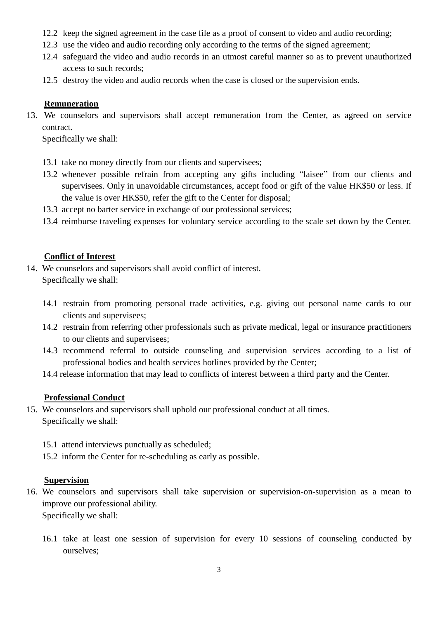- 12.2 keep the signed agreement in the case file as a proof of consent to video and audio recording;
- 12.3 use the video and audio recording only according to the terms of the signed agreement;
- 12.4 safeguard the video and audio records in an utmost careful manner so as to prevent unauthorized access to such records;
- 12.5 destroy the video and audio records when the case is closed or the supervision ends.

#### **Remuneration**

13. We counselors and supervisors shall accept remuneration from the Center, as agreed on service contract.

Specifically we shall:

- 13.1 take no money directly from our clients and supervisees;
- 13.2 whenever possible refrain from accepting any gifts including "laisee" from our clients and supervisees. Only in unavoidable circumstances, accept food or gift of the value HK\$50 or less. If the value is over HK\$50, refer the gift to the Center for disposal;
- 13.3 accept no barter service in exchange of our professional services;
- 13.4 reimburse traveling expenses for voluntary service according to the scale set down by the Center.

#### **Conflict of Interest**

- 14. We counselors and supervisors shall avoid conflict of interest. Specifically we shall:
	- 14.1 restrain from promoting personal trade activities, e.g. giving out personal name cards to our clients and supervisees;
	- 14.2 restrain from referring other professionals such as private medical, legal or insurance practitioners to our clients and supervisees;
	- 14.3 recommend referral to outside counseling and supervision services according to a list of professional bodies and health services hotlines provided by the Center;
	- 14.4 release information that may lead to conflicts of interest between a third party and the Center.

## **Professional Conduct**

- 15. We counselors and supervisors shall uphold our professional conduct at all times. Specifically we shall:
	- 15.1 attend interviews punctually as scheduled;
	- 15.2 inform the Center for re-scheduling as early as possible.

## **Supervision**

- 16. We counselors and supervisors shall take supervision or supervision-on-supervision as a mean to improve our professional ability. Specifically we shall:
	- 16.1 take at least one session of supervision for every 10 sessions of counseling conducted by ourselves;